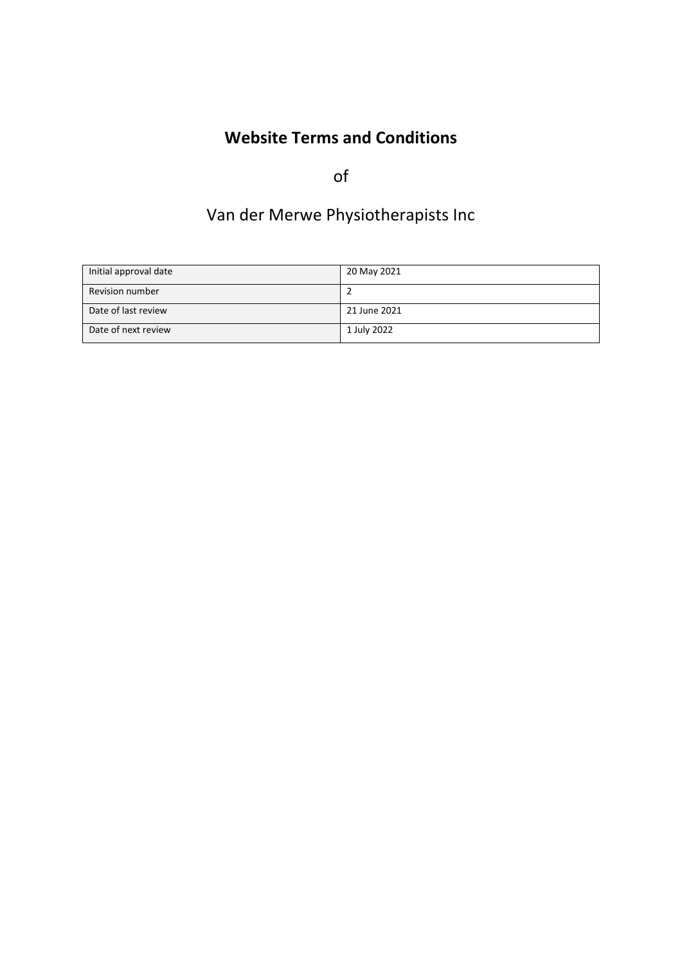# **Website Terms and Conditions**

of

# Van der Merwe Physiotherapists Inc

| Initial approval date | 20 May 2021  |
|-----------------------|--------------|
| Revision number       |              |
| Date of last review   | 21 June 2021 |
| Date of next review   | 1 July 2022  |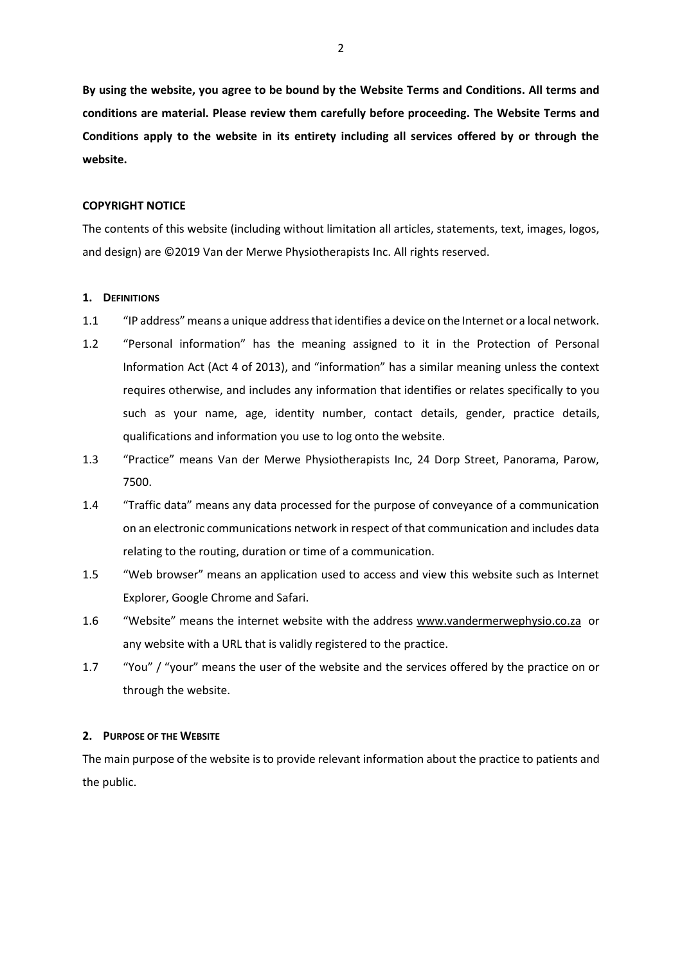**By using the website, you agree to be bound by the Website Terms and Conditions. All terms and conditions are material. Please review them carefully before proceeding. The Website Terms and Conditions apply to the website in its entirety including all services offered by or through the website.** 

## **COPYRIGHT NOTICE**

The contents of this website (including without limitation all articles, statements, text, images, logos, and design) are ©2019 Van der Merwe Physiotherapists Inc. All rights reserved.

## **1. DEFINITIONS**

- 1.1 "IP address" means a unique address that identifies a device on the Internet or a local network.
- 1.2 "Personal information" has the meaning assigned to it in the Protection of Personal Information Act (Act 4 of 2013), and "information" has a similar meaning unless the context requires otherwise, and includes any information that identifies or relates specifically to you such as your name, age, identity number, contact details, gender, practice details, qualifications and information you use to log onto the website.
- 1.3 "Practice" means Van der Merwe Physiotherapists Inc, 24 Dorp Street, Panorama, Parow, 7500.
- 1.4 "Traffic data" means any data processed for the purpose of conveyance of a communication on an electronic communications network in respect of that communication and includes data relating to the routing, duration or time of a communication.
- 1.5 "Web browser" means an application used to access and view this website such as Internet Explorer, Google Chrome and Safari.
- 1.6 "Website" means the internet website with the address [www.v](http://www.practice.co.za/)andermerwephysio.co.za or any website with a URL that is validly registered to the practice.
- 1.7 "You" / "your" means the user of the website and the services offered by the practice on or through the website.

#### **2. PURPOSE OF THE WEBSITE**

The main purpose of the website is to provide relevant information about the practice to patients and the public.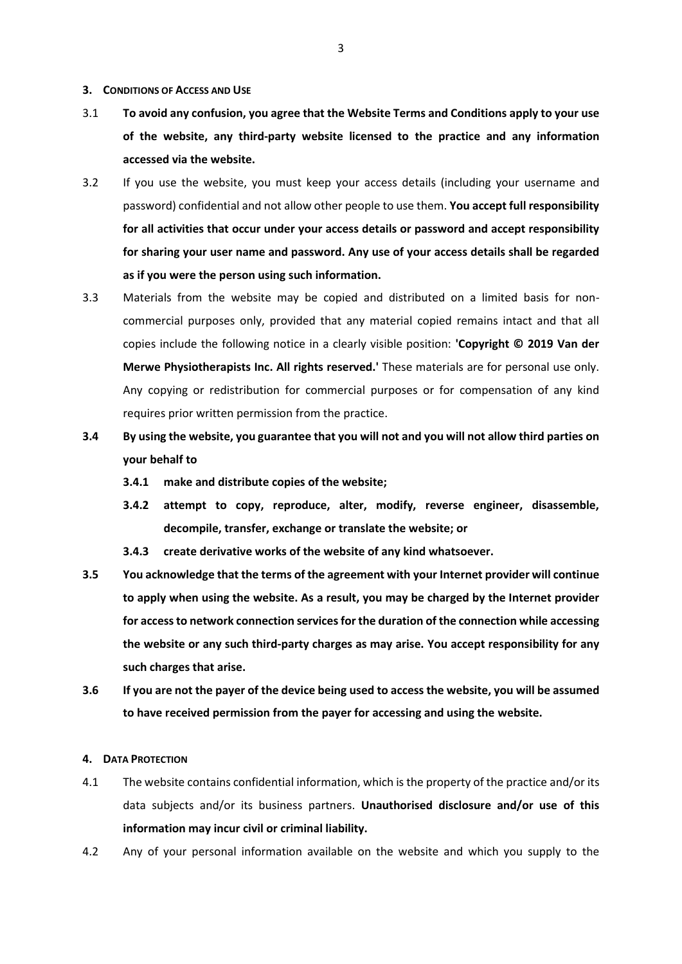#### **3. CONDITIONS OF ACCESS AND USE**

- 3.1 **To avoid any confusion, you agree that the Website Terms and Conditions apply to your use of the website, any third-party website licensed to the practice and any information accessed via the website.**
- 3.2 If you use the website, you must keep your access details (including your username and password) confidential and not allow other people to use them. **You accept full responsibility for all activities that occur under your access details or password and accept responsibility for sharing your user name and password. Any use of your access details shall be regarded as if you were the person using such information.**
- 3.3 Materials from the website may be copied and distributed on a limited basis for noncommercial purposes only, provided that any material copied remains intact and that all copies include the following notice in a clearly visible position: **'Copyright © 2019 Van der Merwe Physiotherapists Inc. All rights reserved.'** These materials are for personal use only. Any copying or redistribution for commercial purposes or for compensation of any kind requires prior written permission from the practice.
- **3.4 By using the website, you guarantee that you will not and you will not allow third parties on your behalf to** 
	- **3.4.1 make and distribute copies of the website;**
	- **3.4.2 attempt to copy, reproduce, alter, modify, reverse engineer, disassemble, decompile, transfer, exchange or translate the website; or**
	- **3.4.3 create derivative works of the website of any kind whatsoever.**
- **3.5 You acknowledge that the terms of the agreement with your Internet provider will continue to apply when using the website. As a result, you may be charged by the Internet provider for access to network connection services for the duration of the connection while accessing the website or any such third-party charges as may arise. You accept responsibility for any such charges that arise.**
- **3.6 If you are not the payer of the device being used to access the website, you will be assumed to have received permission from the payer for accessing and using the website.**

#### **4. DATA PROTECTION**

- 4.1 The website contains confidential information, which is the property of the practice and/or its data subjects and/or its business partners. **Unauthorised disclosure and/or use of this information may incur civil or criminal liability.**
- 4.2 Any of your personal information available on the website and which you supply to the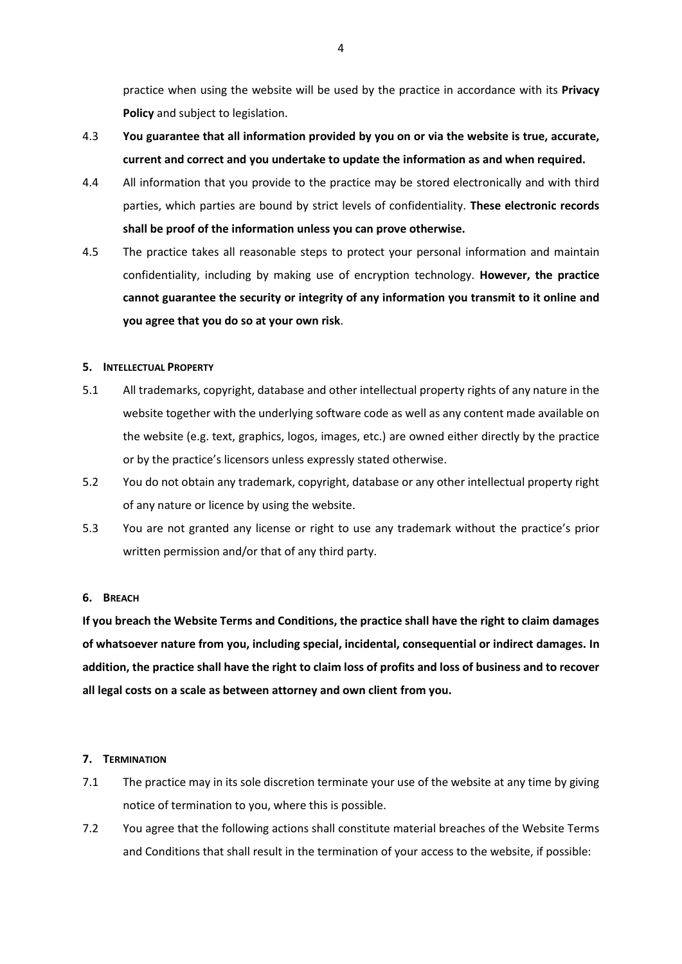practice when using the website will be used by the practice in accordance with its **Privacy Policy** and subject to legislation.

- 4.3 **You guarantee that all information provided by you on or via the website is true, accurate, current and correct and you undertake to update the information as and when required.**
- 4.4 All information that you provide to the practice may be stored electronically and with third parties, which parties are bound by strict levels of confidentiality. **These electronic records shall be proof of the information unless you can prove otherwise.**
- 4.5 The practice takes all reasonable steps to protect your personal information and maintain confidentiality, including by making use of encryption technology. **However, the practice cannot guarantee the security or integrity of any information you transmit to it online and you agree that you do so at your own risk**.

## **5. INTELLECTUAL PROPERTY**

- 5.1 All trademarks, copyright, database and other intellectual property rights of any nature in the website together with the underlying software code as well as any content made available on the website (e.g. text, graphics, logos, images, etc.) are owned either directly by the practice or by the practice's licensors unless expressly stated otherwise.
- 5.2 You do not obtain any trademark, copyright, database or any other intellectual property right of any nature or licence by using the website.
- 5.3 You are not granted any license or right to use any trademark without the practice's prior written permission and/or that of any third party.

# **6. BREACH**

**If you breach the Website Terms and Conditions, the practice shall have the right to claim damages of whatsoever nature from you, including special, incidental, consequential or indirect damages. In addition, the practice shall have the right to claim loss of profits and loss of business and to recover all legal costs on a scale as between attorney and own client from you.**

# **7. TERMINATION**

- 7.1 The practice may in its sole discretion terminate your use of the website at any time by giving notice of termination to you, where this is possible.
- 7.2 You agree that the following actions shall constitute material breaches of the Website Terms and Conditions that shall result in the termination of your access to the website, if possible: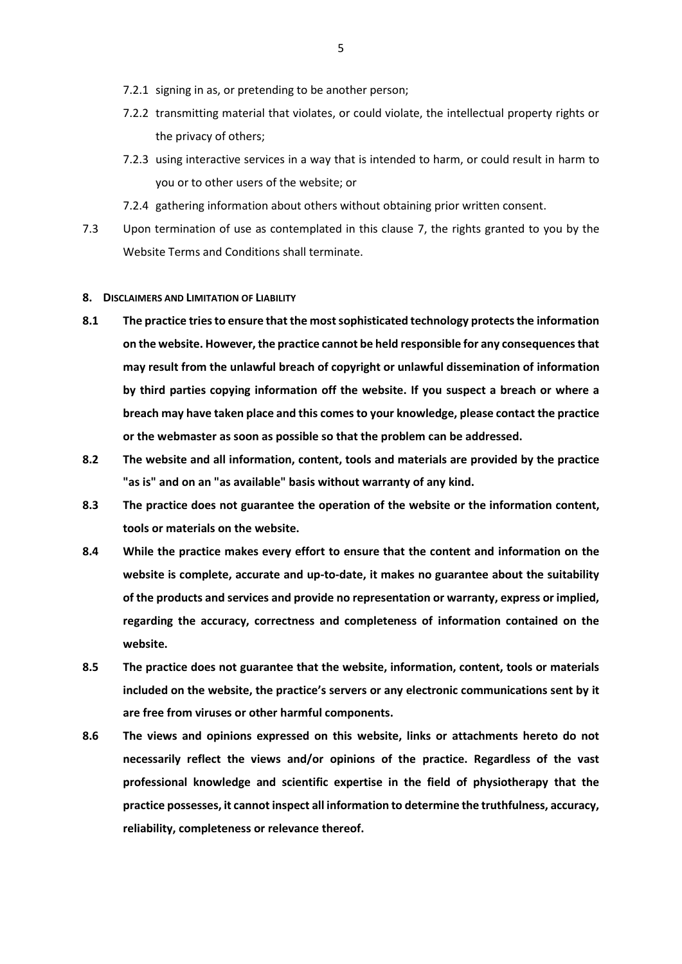- 7.2.1 signing in as, or pretending to be another person;
- 7.2.2 transmitting material that violates, or could violate, the intellectual property rights or the privacy of others;
- 7.2.3 using interactive services in a way that is intended to harm, or could result in harm to you or to other users of the website; or
- 7.2.4 gathering information about others without obtaining prior written consent.
- 7.3 Upon termination of use as contemplated in this clause 7, the rights granted to you by the Website Terms and Conditions shall terminate.
- **8. DISCLAIMERS AND LIMITATION OF LIABILITY**
- **8.1 The practice tries to ensure that the most sophisticated technology protects the information on the website. However, the practice cannot be held responsible for any consequences that may result from the unlawful breach of copyright or unlawful dissemination of information by third parties copying information off the website. If you suspect a breach or where a breach may have taken place and this comes to your knowledge, please contact the practice or the webmaster as soon as possible so that the problem can be addressed.**
- **8.2 The website and all information, content, tools and materials are provided by the practice "as is" and on an "as available" basis without warranty of any kind.**
- **8.3 The practice does not guarantee the operation of the website or the information content, tools or materials on the website.**
- **8.4 While the practice makes every effort to ensure that the content and information on the website is complete, accurate and up-to-date, it makes no guarantee about the suitability of the products and services and provide no representation or warranty, express or implied, regarding the accuracy, correctness and completeness of information contained on the website.**
- **8.5 The practice does not guarantee that the website, information, content, tools or materials included on the website, the practice's servers or any electronic communications sent by it are free from viruses or other harmful components.**
- **8.6 The views and opinions expressed on this website, links or attachments hereto do not necessarily reflect the views and/or opinions of the practice. Regardless of the vast professional knowledge and scientific expertise in the field of physiotherapy that the practice possesses, it cannot inspect all information to determine the truthfulness, accuracy, reliability, completeness or relevance thereof.**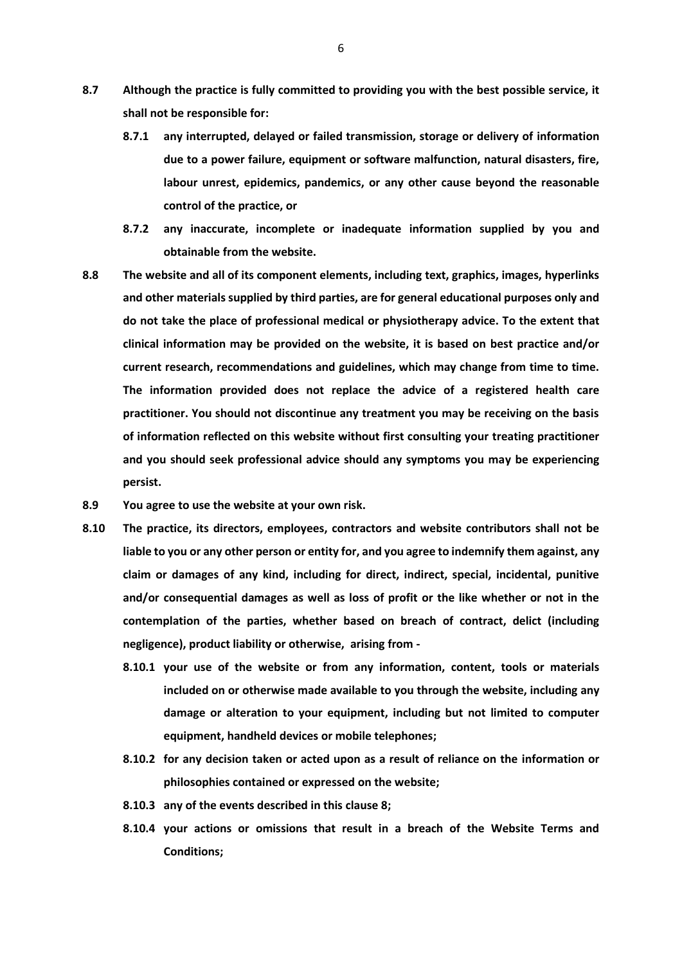- **8.7 Although the practice is fully committed to providing you with the best possible service, it shall not be responsible for:**
	- **8.7.1 any interrupted, delayed or failed transmission, storage or delivery of information due to a power failure, equipment or software malfunction, natural disasters, fire, labour unrest, epidemics, pandemics, or any other cause beyond the reasonable control of the practice, or**
	- **8.7.2 any inaccurate, incomplete or inadequate information supplied by you and obtainable from the website.**
- **8.8 The website and all of its component elements, including text, graphics, images, hyperlinks and other materials supplied by third parties, are for general educational purposes only and do not take the place of professional medical or physiotherapy advice. To the extent that clinical information may be provided on the website, it is based on best practice and/or current research, recommendations and guidelines, which may change from time to time. The information provided does not replace the advice of a registered health care practitioner. You should not discontinue any treatment you may be receiving on the basis of information reflected on this website without first consulting your treating practitioner and you should seek professional advice should any symptoms you may be experiencing persist.**
- **8.9 You agree to use the website at your own risk.**
- **8.10 The practice, its directors, employees, contractors and website contributors shall not be liable to you or any other person or entity for, and you agree to indemnify them against, any claim or damages of any kind, including for direct, indirect, special, incidental, punitive and/or consequential damages as well as loss of profit or the like whether or not in the contemplation of the parties, whether based on breach of contract, delict (including negligence), product liability or otherwise, arising from -**
	- **8.10.1 your use of the website or from any information, content, tools or materials included on or otherwise made available to you through the website, including any damage or alteration to your equipment, including but not limited to computer equipment, handheld devices or mobile telephones;**
	- **8.10.2 for any decision taken or acted upon as a result of reliance on the information or philosophies contained or expressed on the website;**
	- **8.10.3 any of the events described in this clause 8;**
	- **8.10.4 your actions or omissions that result in a breach of the Website Terms and Conditions;**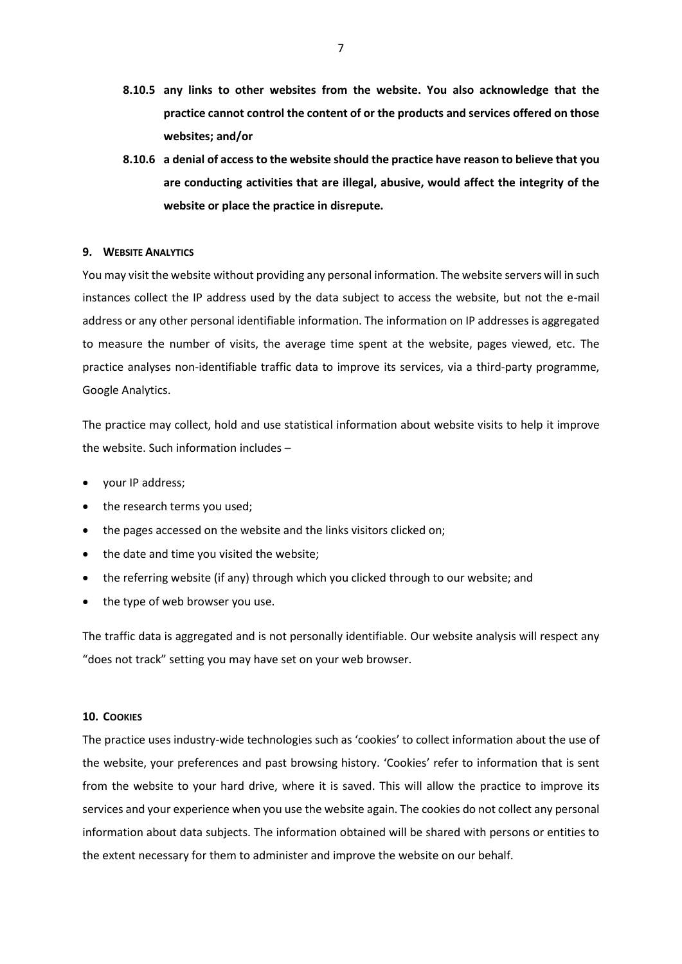- **8.10.5 any links to other websites from the website. You also acknowledge that the practice cannot control the content of or the products and services offered on those websites; and/or**
- **8.10.6 a denial of access to the website should the practice have reason to believe that you are conducting activities that are illegal, abusive, would affect the integrity of the website or place the practice in disrepute.**

## **9. WEBSITE ANALYTICS**

You may visit the website without providing any personal information. The website servers will in such instances collect the IP address used by the data subject to access the website, but not the e-mail address or any other personal identifiable information. The information on IP addresses is aggregated to measure the number of visits, the average time spent at the website, pages viewed, etc. The practice analyses non-identifiable traffic data to improve its services, via a third-party programme, Google Analytics.

The practice may collect, hold and use statistical information about website visits to help it improve the website. Such information includes –

- vour IP address;
- the research terms you used;
- the pages accessed on the website and the links visitors clicked on;
- the date and time you visited the website;
- the referring website (if any) through which you clicked through to our website; and
- the type of web browser you use.

The traffic data is aggregated and is not personally identifiable. Our website analysis will respect any "does not track" setting you may have set on your web browser.

#### **10. COOKIES**

The practice uses industry-wide technologies such as 'cookies' to collect information about the use of the website, your preferences and past browsing history. 'Cookies' refer to information that is sent from the website to your hard drive, where it is saved. This will allow the practice to improve its services and your experience when you use the website again. The cookies do not collect any personal information about data subjects. The information obtained will be shared with persons or entities to the extent necessary for them to administer and improve the website on our behalf.